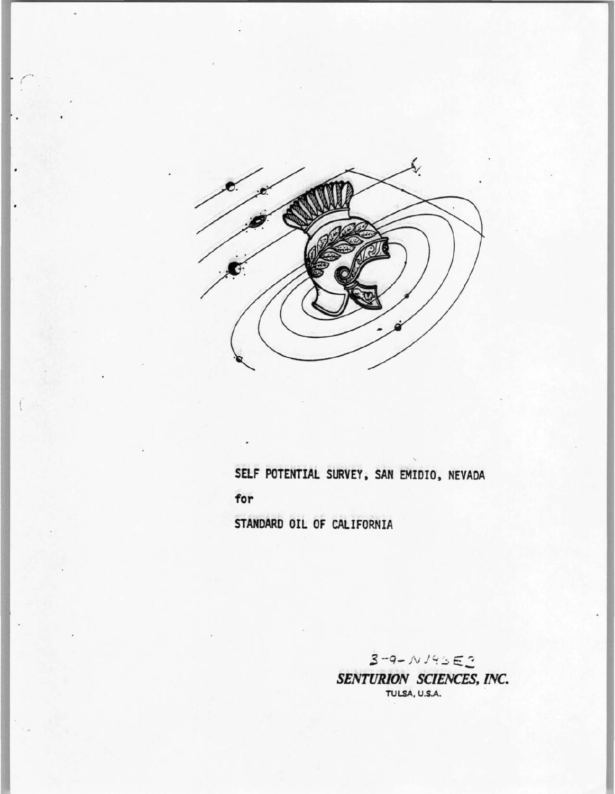

 $\cdot$  /

 $\overline{(\ }$ 

**SELF POTENTIAL SURVEY, SAN EMIDIO, NEVADA for STANDARD OIL OF CALIFORNIA** 

> $3 - 9 - N19552$ *SENTURION SCIENCES, INC.*  TULSA, U.S.A.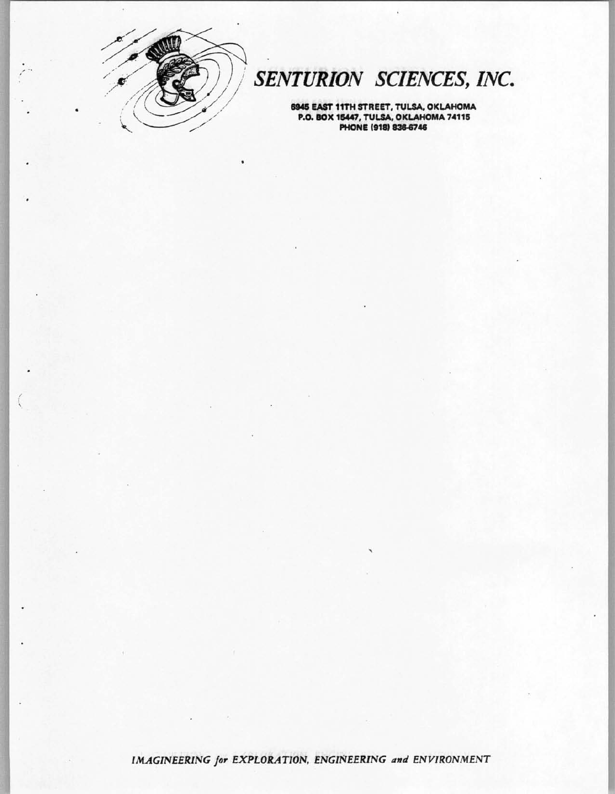

 $\left($ 

# SENTURION SCIENCES, INC.

6945 EAST 11TH STREET, TULSA, OKLAHOMA P.O. BOX 15447, TULSA, OKLAHOMA 74115<br>PHONE (918) 836-6746

IMAGINEERING for EXPLORATION, ENGINEERING and ENVIRONMENT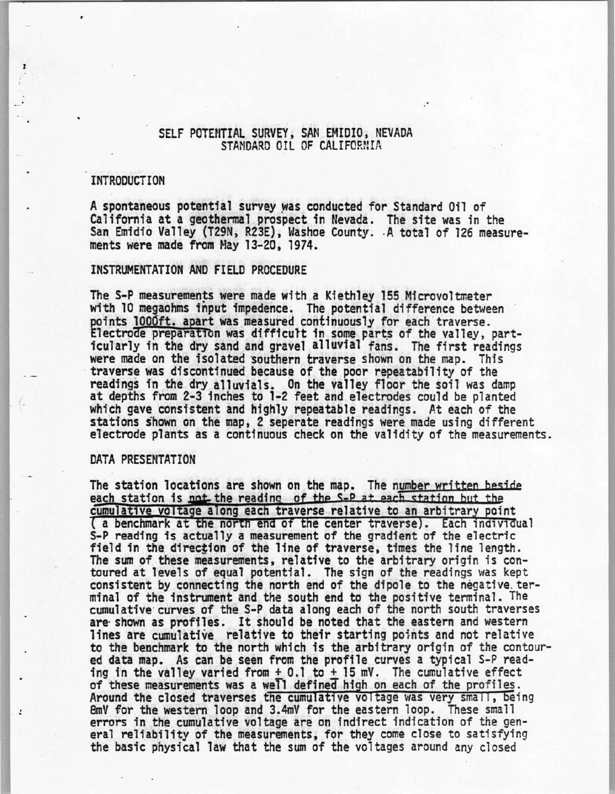# SELF POTENTIAL SURVEY, SAN EMIDIO, NEVADA STANDARD OIL OF CALIFORNIA

## INTRODUCTION

A spontaneous potential survey was conducted for Standard Oil of California at a geothennal prospect in Nevada. The site was in the San Emidio Valley (T29N, R23E), Washoe County. A total of 126 measurements were made from Hay 13-20, 1974.

#### INSTRUMENTATION AND FIELD PROCEDURE

The S-P measurements were made with a Kiethley 155 Microvoltmeter with 10 megaohms input impedence. The potential difference between points 1000ft. apart was measured continuously for each traverse. Electrode preparation was difficult in some parts of the valley, part-<br>icularly in the dry sand and gravel alluvial fans. The first readings<br>were made on the isolated southern traverse shown on the map. This traverse was discontinued because of the poor repeatability of the readings in the dry alluvials. On the valley floor the soil was damp at depths from 2-3 inches to 1-2 feet and electrodes could be planted which gave consistent and highly repeatable readings. At each of the stations shown on the map, 2 seperate readings were made using different electrode plants as a continuous check on the validity of the measurements.

## DATA PRESENTATION

 $\ddot{\cdot}$ 

The station locations are shown on the map. The number written beside each station is not the reading of cumulative voltage along each traverse relative to an arbitrary point<br>( a benchmark at the north end of the center traverse). Each individual e station locations are shown on the map. The number written beside<br>ch station is not the reading of the S-P at each station but the<br>mulative voltage along each traverse relative to an arbitrary point<br>a benchmark at the no S-P reading is actually a measurement of the gradient of the electric field in the direction of the line of traverse, times the line length.<br>The sum of these measurements, relative to the arbitrary origin is contoured at levels of equal potential. The sign of the readings was kept consistent by connecting the north end of the dipole to the negative. terminal of the instrument and the south end to the positive terminal. The cumulative· curves of the S-P data along each of the north south traverses are· shown as profiles. It should be noted that the eastern and western lines are cumulative relative to their starting points and not relative to the benchmark to the north which is the arbitrary origin of the contoured data map. As can be seen from the profile curves a typical S-P reading in the valley varied from  $\pm$  0.1 to  $\pm$  15 mV. The cumulative effect of these measurements was a well defined high on each of the profiles.<br>Around the closed traverses the cumulative voltage was very small, being<br>8mV for the western loop and 3.4mV for the eastern loop. These small 8mV for the western loop and 3.4mV for the eastern loop. These small errors in the cumulative voltage are on indirect indication of the general reliability of the measurements, for they come close to satisfying the basic p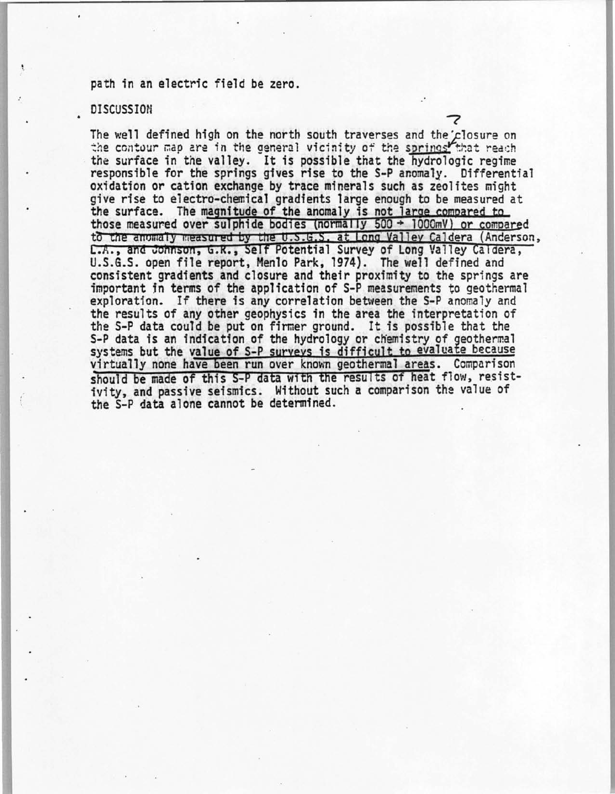## path in an electric field be zero.

#### DISCUSSION

The well defined high on the north south traverses and the closure on the contour map are in the general vicinity of the springs that reach the surface in the valley. It is possible that the hydrologic regime responsible for the springs gives rise to the S-P anomaly. Differential oxidation or cation exchange by trace minerals such as zeolites might give rise to electro-chemical gradients large enough to be measured at the surface. The magnitude of the anomaly is not large compared to those measured over sulphide bodies (normally  $500 \div 1000$ mV) or compared to the anomaly measured by the U.S.G.S. at Long Valley Caldera (Anderson, L.A., and Johnson, G.R., Self Potential Survey of Long Valley Caldera, U.S.G.S. open file report, Menlo Park, 1974). The well defined and consistent gradients and closure and their proximity to the springs are important in terms of the application of S-P measurements to geothermal exploration. If there is any correlation between the S-P anomaly and the results of any other geophysics in the area the interpretation of the S-P data could be put on firmer ground. It is possible that the S-P data is an indication of the hydrology or chemistry of geothermal systems but the value of S-P surveys is difficult to evaluate because virtually none have been run over known geothermal areas. Comparison should be made of this S-P data with the results of heat flow, resistivity, and passive seismics. Without such a comparison the value of the S-P data alone cannot be determined.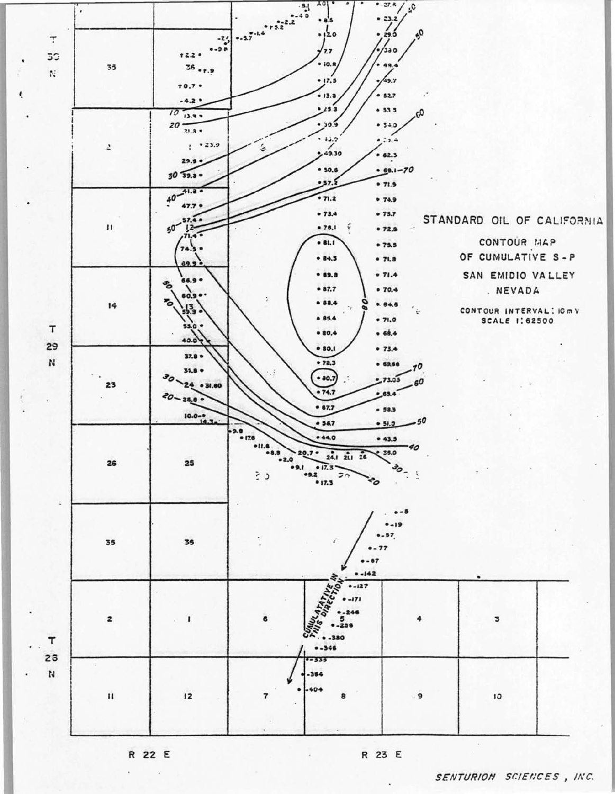

R 22 E  $\hat{\textbf{z}}$ 

ť

R 23 E

SENTURION SCIENCES, INC.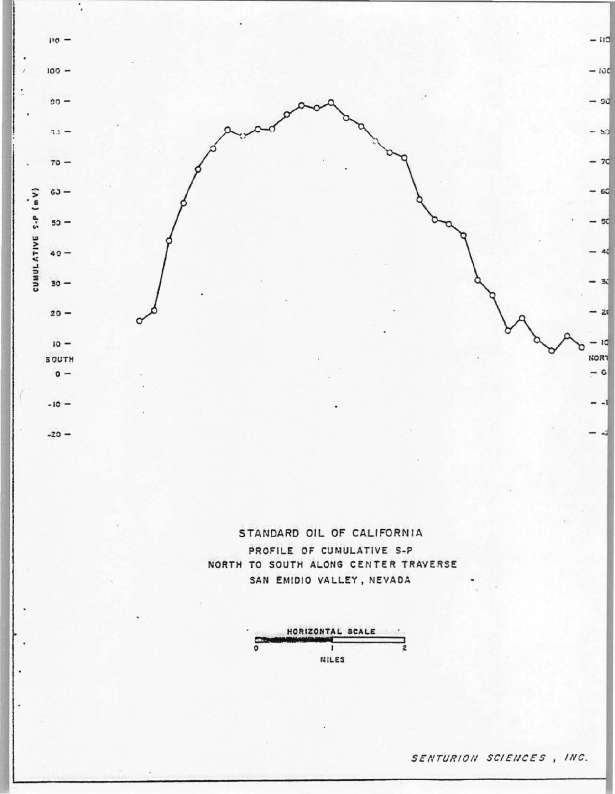

STANDARD OIL OF CALIFORNIA PROFILE OF CUMULATIVE S-P NORTH TO SOUTH ALONG CENTER TRAVERSE SAN EMIDIO VALLEY, NEVADA



SENTURION SCIENCES, INC.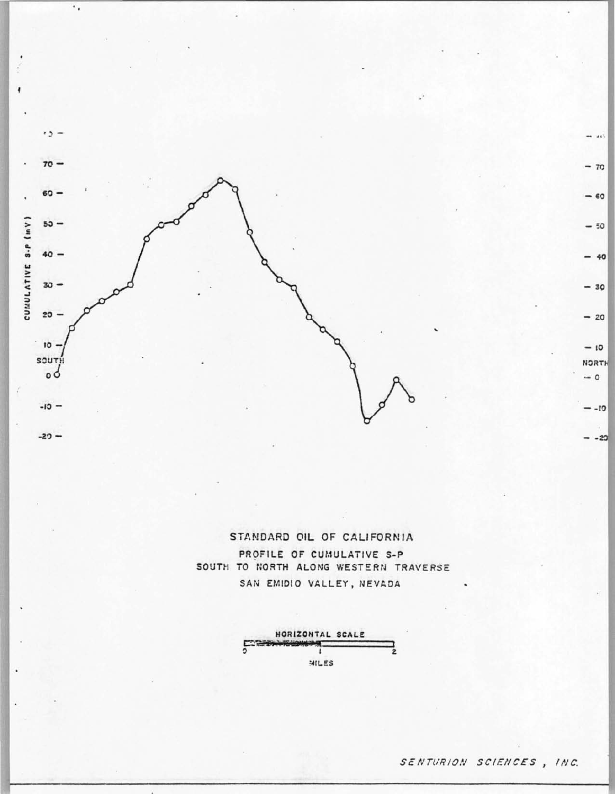

٠.

STANDARD OIL OF CALIFORNIA PROFILE OF CUMULATIVE S-P SOUTH TO NORTH ALONG WESTERN TRAVERSE SAN EMIDIO VALLEY, NEVADA



 $\cdots$ 

 $-70$ 

 $-60$ 

 $-50$ 

 $-40$ 

 $-30$ 

 $-20$ 

 $-10$ 

**NORTH** 

 $-0$ 

 $C1 -$ 

 $- - 20$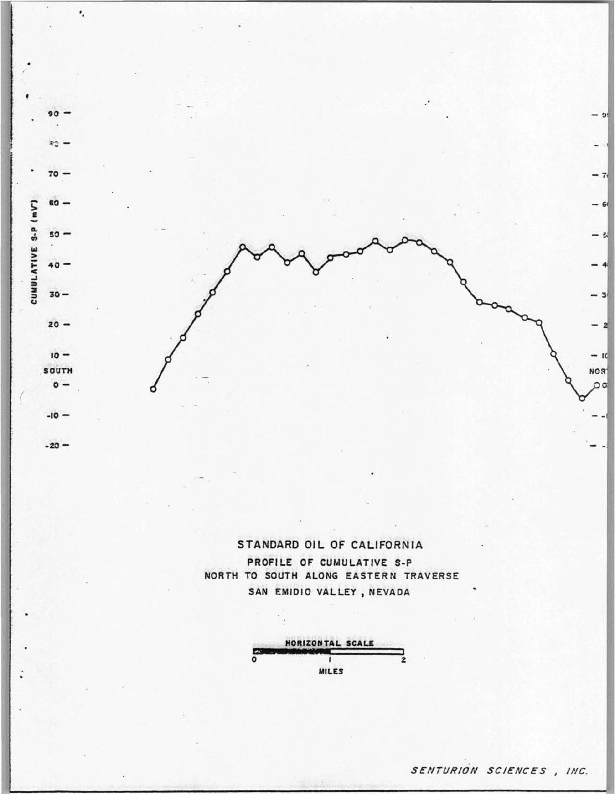

STANDARD OIL OF CALIFORNIA PROFILE OF CUMULATIVE S-P NORTH TO SOUTH ALONG EASTERN TRAVERSE SAN EMIDIO VALLEY, NEVADA